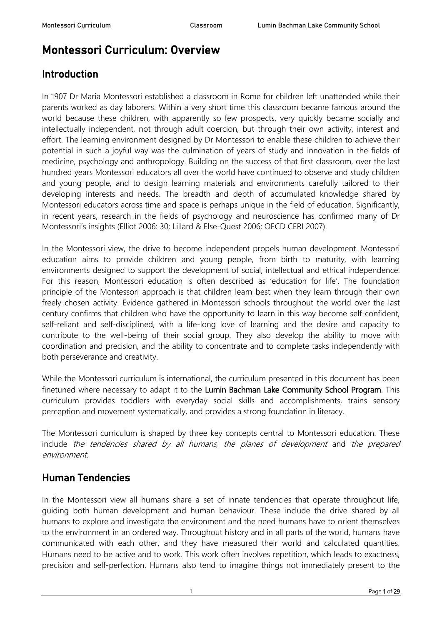# Montessori Curriculum: Overview

# Introduction

In 1907 Dr Maria Montessori established a classroom in Rome for children left unattended while their parents worked as day laborers. Within a very short time this classroom became famous around the world because these children, with apparently so few prospects, very quickly became socially and intellectually independent, not through adult coercion, but through their own activity, interest and effort. The learning environment designed by Dr Montessori to enable these children to achieve their potential in such a joyful way was the culmination of years of study and innovation in the fields of medicine, psychology and anthropology. Building on the success of that first classroom, over the last hundred years Montessori educators all over the world have continued to observe and study children and young people, and to design learning materials and environments carefully tailored to their developing interests and needs. The breadth and depth of accumulated knowledge shared by Montessori educators across time and space is perhaps unique in the field of education. Significantly, in recent years, research in the fields of psychology and neuroscience has confirmed many of Dr Montessori's insights (Elliot 2006: 30; Lillard & Else-Quest 2006; OECD CERI 2007).

In the Montessori view, the drive to become independent propels human development. Montessori education aims to provide children and young people, from birth to maturity, with learning environments designed to support the development of social, intellectual and ethical independence. For this reason, Montessori education is often described as 'education for life'. The foundation principle of the Montessori approach is that children learn best when they learn through their own freely chosen activity. Evidence gathered in Montessori schools throughout the world over the last century confirms that children who have the opportunity to learn in this way become self-confident, self-reliant and self-disciplined, with a life-long love of learning and the desire and capacity to contribute to the well-being of their social group. They also develop the ability to move with coordination and precision, and the ability to concentrate and to complete tasks independently with both perseverance and creativity.

While the Montessori curriculum is international, the curriculum presented in this document has been finetuned where necessary to adapt it to the Lumin Bachman Lake Community School Program. This curriculum provides toddlers with everyday social skills and accomplishments, trains sensory perception and movement systematically, and provides a strong foundation in literacy.

The Montessori curriculum is shaped by three key concepts central to Montessori education. These include the tendencies shared by all humans, the planes of development and the prepared environment.

# Human Tendencies

In the Montessori view all humans share a set of innate tendencies that operate throughout life, guiding both human development and human behaviour. These include the drive shared by all humans to explore and investigate the environment and the need humans have to orient themselves to the environment in an ordered way. Throughout history and in all parts of the world, humans have communicated with each other, and they have measured their world and calculated quantities. Humans need to be active and to work. This work often involves repetition, which leads to exactness, precision and self-perfection. Humans also tend to imagine things not immediately present to the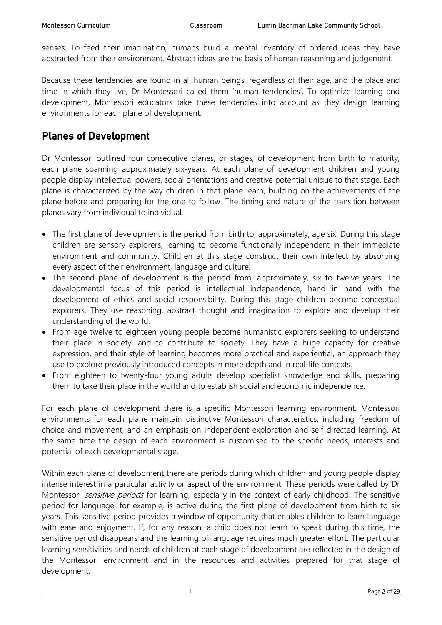senses. To feed their imagination, humans build a mental inventory of ordered ideas they have abstracted from their environment. Abstract ideas are the basis of human reasoning and judgement.

Because these tendencies are found in all human beings, regardless of their age, and the place and time in which they live, Dr Montessori called them 'human tendencies'. To optimize learning and development, Montessori educators take these tendencies into account as they design learning environments for each plane of development.

# Planes of Development

Dr Montessori outlined four consecutive planes, or stages, of development from birth to maturity, each plane spanning approximately six-years. At each plane of development children and young people display intellectual powers, social orientations and creative potential unique to that stage. Each plane is characterized by the way children in that plane learn, building on the achievements of the plane before and preparing for the one to follow. The timing and nature of the transition between planes vary from individual to individual.

- The first plane of development is the period from birth to, approximately, age six. During this stage children are sensory explorers, learning to become functionally independent in their immediate environment and community. Children at this stage construct their own intellect by absorbing every aspect of their environment, language and culture.
- The second plane of development is the period from, approximately, six to twelve years. The developmental focus of this period is intellectual independence, hand in hand with the development of ethics and social responsibility. During this stage children become conceptual explorers. They use reasoning, abstract thought and imagination to explore and develop their understanding of the world.
- From age twelve to eighteen young people become humanistic explorers seeking to understand their place in society, and to contribute to society. They have a huge capacity for creative expression, and their style of learning becomes more practical and experiential, an approach they use to explore previously introduced concepts in more depth and in real-life contexts.
- From eighteen to twenty-four young adults develop specialist knowledge and skills, preparing them to take their place in the world and to establish social and economic independence.

For each plane of development there is a specific Montessori learning environment. Montessori environments for each plane maintain distinctive Montessori characteristics, including freedom of choice and movement, and an emphasis on independent exploration and self-directed learning. At the same time the design of each environment is customised to the specific needs, interests and potential of each developmental stage.

Within each plane of development there are periods during which children and young people display intense interest in a particular activity or aspect of the environment. These periods were called by Dr Montessori *sensitive periods* for learning, especially in the context of early childhood. The sensitive period for language, for example, is active during the first plane of development from birth to six years. This sensitive period provides a window of opportunity that enables children to learn language with ease and enjoyment. If, for any reason, a child does not learn to speak during this time, the sensitive period disappears and the learning of language requires much greater effort. The particular learning sensitivities and needs of children at each stage of development are reflected in the design of the Montessori environment and in the resources and activities prepared for that stage of development.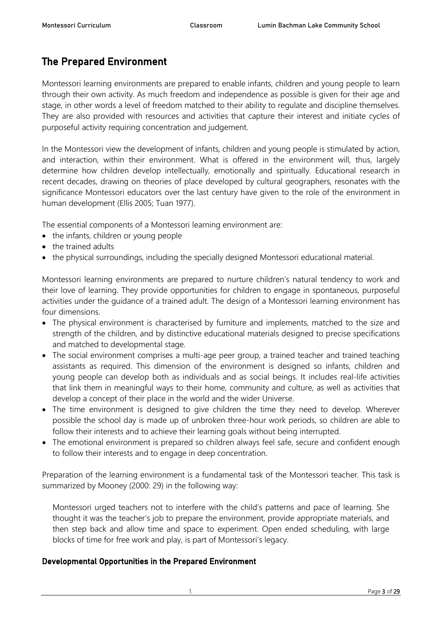# The Prepared Environment

Montessori learning environments are prepared to enable infants, children and young people to learn through their own activity. As much freedom and independence as possible is given for their age and stage, in other words a level of freedom matched to their ability to regulate and discipline themselves. They are also provided with resources and activities that capture their interest and initiate cycles of purposeful activity requiring concentration and judgement.

In the Montessori view the development of infants, children and young people is stimulated by action, and interaction, within their environment. What is offered in the environment will, thus, largely determine how children develop intellectually, emotionally and spiritually. Educational research in recent decades, drawing on theories of place developed by cultural geographers, resonates with the significance Montessori educators over the last century have given to the role of the environment in human development (Ellis 2005; Tuan 1977).

The essential components of a Montessori learning environment are:

- the infants, children or young people
- the trained adults
- the physical surroundings, including the specially designed Montessori educational material.

Montessori learning environments are prepared to nurture children's natural tendency to work and their love of learning. They provide opportunities for children to engage in spontaneous, purposeful activities under the guidance of a trained adult. The design of a Montessori learning environment has four dimensions.

- The physical environment is characterised by furniture and implements, matched to the size and strength of the children, and by distinctive educational materials designed to precise specifications and matched to developmental stage.
- The social environment comprises a multi-age peer group, a trained teacher and trained teaching assistants as required. This dimension of the environment is designed so infants, children and young people can develop both as individuals and as social beings. It includes real-life activities that link them in meaningful ways to their home, community and culture, as well as activities that develop a concept of their place in the world and the wider Universe.
- The time environment is designed to give children the time they need to develop. Wherever possible the school day is made up of unbroken three-hour work periods, so children are able to follow their interests and to achieve their learning goals without being interrupted.
- The emotional environment is prepared so children always feel safe, secure and confident enough to follow their interests and to engage in deep concentration.

Preparation of the learning environment is a fundamental task of the Montessori teacher. This task is summarized by Mooney (2000: 29) in the following way:

Montessori urged teachers not to interfere with the child's patterns and pace of learning. She thought it was the teacher's job to prepare the environment, provide appropriate materials, and then step back and allow time and space to experiment. Open ended scheduling, with large blocks of time for free work and play, is part of Montessori's legacy.

#### Developmental Opportunities in the Prepared Environment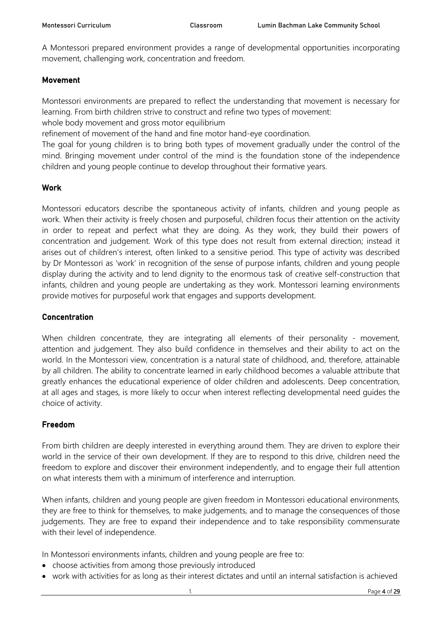A Montessori prepared environment provides a range of developmental opportunities incorporating movement, challenging work, concentration and freedom.

#### Movement

Montessori environments are prepared to reflect the understanding that movement is necessary for learning. From birth children strive to construct and refine two types of movement:

whole body movement and gross motor equilibrium

refinement of movement of the hand and fine motor hand-eye coordination.

The goal for young children is to bring both types of movement gradually under the control of the mind. Bringing movement under control of the mind is the foundation stone of the independence children and young people continue to develop throughout their formative years.

#### Work

Montessori educators describe the spontaneous activity of infants, children and young people as work. When their activity is freely chosen and purposeful, children focus their attention on the activity in order to repeat and perfect what they are doing. As they work, they build their powers of concentration and judgement. Work of this type does not result from external direction; instead it arises out of children's interest, often linked to a sensitive period. This type of activity was described by Dr Montessori as 'work' in recognition of the sense of purpose infants, children and young people display during the activity and to lend dignity to the enormous task of creative self-construction that infants, children and young people are undertaking as they work. Montessori learning environments provide motives for purposeful work that engages and supports development.

#### **Concentration**

When children concentrate, they are integrating all elements of their personality - movement, attention and judgement. They also build confidence in themselves and their ability to act on the world. In the Montessori view, concentration is a natural state of childhood, and, therefore, attainable by all children. The ability to concentrate learned in early childhood becomes a valuable attribute that greatly enhances the educational experience of older children and adolescents. Deep concentration, at all ages and stages, is more likely to occur when interest reflecting developmental need guides the choice of activity.

#### Freedom

From birth children are deeply interested in everything around them. They are driven to explore their world in the service of their own development. If they are to respond to this drive, children need the freedom to explore and discover their environment independently, and to engage their full attention on what interests them with a minimum of interference and interruption.

When infants, children and young people are given freedom in Montessori educational environments, they are free to think for themselves, to make judgements, and to manage the consequences of those judgements. They are free to expand their independence and to take responsibility commensurate with their level of independence.

In Montessori environments infants, children and young people are free to:

- choose activities from among those previously introduced
- work with activities for as long as their interest dictates and until an internal satisfaction is achieved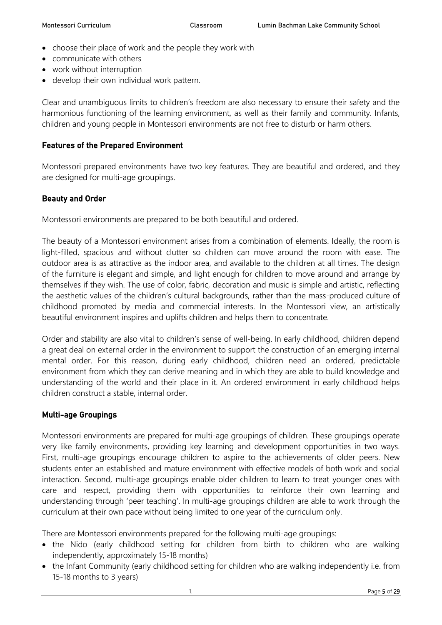- choose their place of work and the people they work with
- communicate with others
- work without interruption
- develop their own individual work pattern.

Clear and unambiguous limits to children's freedom are also necessary to ensure their safety and the harmonious functioning of the learning environment, as well as their family and community. Infants, children and young people in Montessori environments are not free to disturb or harm others.

#### Features of the Prepared Environment

Montessori prepared environments have two key features. They are beautiful and ordered, and they are designed for multi-age groupings.

#### Beauty and Order

Montessori environments are prepared to be both beautiful and ordered.

The beauty of a Montessori environment arises from a combination of elements. Ideally, the room is light-filled, spacious and without clutter so children can move around the room with ease. The outdoor area is as attractive as the indoor area, and available to the children at all times. The design of the furniture is elegant and simple, and light enough for children to move around and arrange by themselves if they wish. The use of color, fabric, decoration and music is simple and artistic, reflecting the aesthetic values of the children's cultural backgrounds, rather than the mass-produced culture of childhood promoted by media and commercial interests. In the Montessori view, an artistically beautiful environment inspires and uplifts children and helps them to concentrate.

Order and stability are also vital to children's sense of well-being. In early childhood, children depend a great deal on external order in the environment to support the construction of an emerging internal mental order. For this reason, during early childhood, children need an ordered, predictable environment from which they can derive meaning and in which they are able to build knowledge and understanding of the world and their place in it. An ordered environment in early childhood helps children construct a stable, internal order.

#### Multi-age Groupings

Montessori environments are prepared for multi-age groupings of children. These groupings operate very like family environments, providing key learning and development opportunities in two ways. First, multi-age groupings encourage children to aspire to the achievements of older peers. New students enter an established and mature environment with effective models of both work and social interaction. Second, multi-age groupings enable older children to learn to treat younger ones with care and respect, providing them with opportunities to reinforce their own learning and understanding through 'peer teaching'. In multi-age groupings children are able to work through the curriculum at their own pace without being limited to one year of the curriculum only.

There are Montessori environments prepared for the following multi-age groupings:

- the Nido (early childhood setting for children from birth to children who are walking independently, approximately 15-18 months)
- the Infant Community (early childhood setting for children who are walking independently i.e. from 15-18 months to 3 years)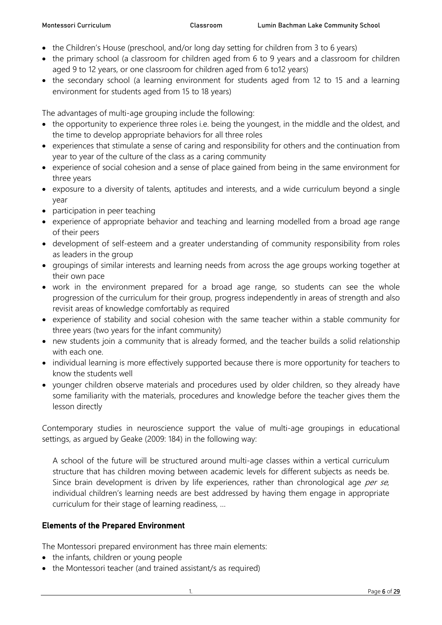- the Children's House (preschool, and/or long day setting for children from 3 to 6 years)
- the primary school (a classroom for children aged from 6 to 9 years and a classroom for children aged 9 to 12 years, or one classroom for children aged from 6 to12 years)
- the secondary school (a learning environment for students aged from 12 to 15 and a learning environment for students aged from 15 to 18 years)

The advantages of multi-age grouping include the following:

- the opportunity to experience three roles i.e. being the youngest, in the middle and the oldest, and the time to develop appropriate behaviors for all three roles
- experiences that stimulate a sense of caring and responsibility for others and the continuation from year to year of the culture of the class as a caring community
- experience of social cohesion and a sense of place gained from being in the same environment for three years
- exposure to a diversity of talents, aptitudes and interests, and a wide curriculum beyond a single year
- participation in peer teaching
- experience of appropriate behavior and teaching and learning modelled from a broad age range of their peers
- development of self-esteem and a greater understanding of community responsibility from roles as leaders in the group
- groupings of similar interests and learning needs from across the age groups working together at their own pace
- work in the environment prepared for a broad age range, so students can see the whole progression of the curriculum for their group, progress independently in areas of strength and also revisit areas of knowledge comfortably as required
- experience of stability and social cohesion with the same teacher within a stable community for three years (two years for the infant community)
- new students join a community that is already formed, and the teacher builds a solid relationship with each one.
- individual learning is more effectively supported because there is more opportunity for teachers to know the students well
- younger children observe materials and procedures used by older children, so they already have some familiarity with the materials, procedures and knowledge before the teacher gives them the lesson directly

Contemporary studies in neuroscience support the value of multi-age groupings in educational settings, as argued by Geake (2009: 184) in the following way:

A school of the future will be structured around multi-age classes within a vertical curriculum structure that has children moving between academic levels for different subjects as needs be. Since brain development is driven by life experiences, rather than chronological age per se, individual children's learning needs are best addressed by having them engage in appropriate curriculum for their stage of learning readiness, …

## Elements of the Prepared Environment

The Montessori prepared environment has three main elements:

- the infants, children or young people
- the Montessori teacher (and trained assistant/s as required)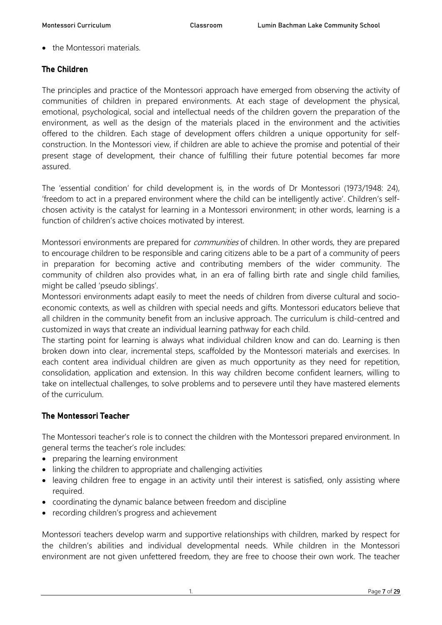• the Montessori materials.

#### The Children

The principles and practice of the Montessori approach have emerged from observing the activity of communities of children in prepared environments. At each stage of development the physical, emotional, psychological, social and intellectual needs of the children govern the preparation of the environment, as well as the design of the materials placed in the environment and the activities offered to the children. Each stage of development offers children a unique opportunity for selfconstruction. In the Montessori view, if children are able to achieve the promise and potential of their present stage of development, their chance of fulfilling their future potential becomes far more assured.

The 'essential condition' for child development is, in the words of Dr Montessori (1973/1948: 24), 'freedom to act in a prepared environment where the child can be intelligently active'. Children's selfchosen activity is the catalyst for learning in a Montessori environment; in other words, learning is a function of children's active choices motivated by interest.

Montessori environments are prepared for *communities* of children. In other words, they are prepared to encourage children to be responsible and caring citizens able to be a part of a community of peers in preparation for becoming active and contributing members of the wider community. The community of children also provides what, in an era of falling birth rate and single child families, might be called 'pseudo siblings'.

Montessori environments adapt easily to meet the needs of children from diverse cultural and socioeconomic contexts, as well as children with special needs and gifts. Montessori educators believe that all children in the community benefit from an inclusive approach. The curriculum is child-centred and customized in ways that create an individual learning pathway for each child.

The starting point for learning is always what individual children know and can do. Learning is then broken down into clear, incremental steps, scaffolded by the Montessori materials and exercises. In each content area individual children are given as much opportunity as they need for repetition, consolidation, application and extension. In this way children become confident learners, willing to take on intellectual challenges, to solve problems and to persevere until they have mastered elements of the curriculum.

#### The Montessori Teacher

The Montessori teacher's role is to connect the children with the Montessori prepared environment. In general terms the teacher's role includes:

- preparing the learning environment
- linking the children to appropriate and challenging activities
- leaving children free to engage in an activity until their interest is satisfied, only assisting where required.
- coordinating the dynamic balance between freedom and discipline
- recording children's progress and achievement

Montessori teachers develop warm and supportive relationships with children, marked by respect for the children's abilities and individual developmental needs. While children in the Montessori environment are not given unfettered freedom, they are free to choose their own work. The teacher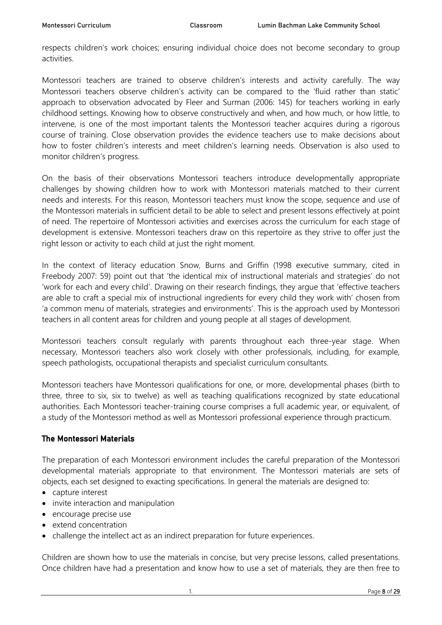respects children's work choices; ensuring individual choice does not become secondary to group activities.

Montessori teachers are trained to observe children's interests and activity carefully. The way Montessori teachers observe children's activity can be compared to the 'fluid rather than static' approach to observation advocated by Fleer and Surman (2006: 145) for teachers working in early childhood settings. Knowing how to observe constructively and when, and how much, or how little, to intervene, is one of the most important talents the Montessori teacher acquires during a rigorous course of training. Close observation provides the evidence teachers use to make decisions about how to foster children's interests and meet children's learning needs. Observation is also used to monitor children's progress.

On the basis of their observations Montessori teachers introduce developmentally appropriate challenges by showing children how to work with Montessori materials matched to their current needs and interests. For this reason, Montessori teachers must know the scope, sequence and use of the Montessori materials in sufficient detail to be able to select and present lessons effectively at point of need. The repertoire of Montessori activities and exercises across the curriculum for each stage of development is extensive. Montessori teachers draw on this repertoire as they strive to offer just the right lesson or activity to each child at just the right moment.

In the context of literacy education Snow, Burns and Griffin (1998 executive summary, cited in Freebody 2007: 59) point out that 'the identical mix of instructional materials and strategies' do not 'work for each and every child'. Drawing on their research findings, they argue that 'effective teachers are able to craft a special mix of instructional ingredients for every child they work with' chosen from 'a common menu of materials, strategies and environments'. This is the approach used by Montessori teachers in all content areas for children and young people at all stages of development.

Montessori teachers consult regularly with parents throughout each three-year stage. When necessary, Montessori teachers also work closely with other professionals, including, for example, speech pathologists, occupational therapists and specialist curriculum consultants.

Montessori teachers have Montessori qualifications for one, or more, developmental phases (birth to three, three to six, six to twelve) as well as teaching qualifications recognized by state educational authorities. Each Montessori teacher-training course comprises a full academic year, or equivalent, of a study of the Montessori method as well as Montessori professional experience through practicum.

## The Montessori Materials

The preparation of each Montessori environment includes the careful preparation of the Montessori developmental materials appropriate to that environment. The Montessori materials are sets of objects, each set designed to exacting specifications. In general the materials are designed to:

- capture interest
- invite interaction and manipulation
- encourage precise use
- extend concentration
- challenge the intellect act as an indirect preparation for future experiences.

Children are shown how to use the materials in concise, but very precise lessons, called presentations. Once children have had a presentation and know how to use a set of materials, they are then free to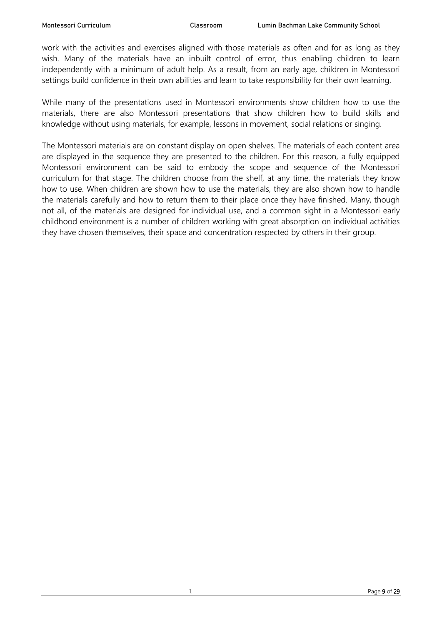work with the activities and exercises aligned with those materials as often and for as long as they wish. Many of the materials have an inbuilt control of error, thus enabling children to learn independently with a minimum of adult help. As a result, from an early age, children in Montessori settings build confidence in their own abilities and learn to take responsibility for their own learning.

While many of the presentations used in Montessori environments show children how to use the materials, there are also Montessori presentations that show children how to build skills and knowledge without using materials, for example, lessons in movement, social relations or singing.

The Montessori materials are on constant display on open shelves. The materials of each content area are displayed in the sequence they are presented to the children. For this reason, a fully equipped Montessori environment can be said to embody the scope and sequence of the Montessori curriculum for that stage. The children choose from the shelf, at any time, the materials they know how to use. When children are shown how to use the materials, they are also shown how to handle the materials carefully and how to return them to their place once they have finished. Many, though not all, of the materials are designed for individual use, and a common sight in a Montessori early childhood environment is a number of children working with great absorption on individual activities they have chosen themselves, their space and concentration respected by others in their group.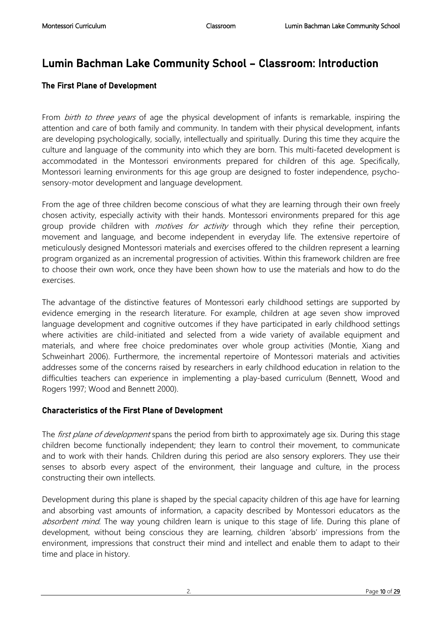# Lumin Bachman Lake Community School – Classroom: Introduction

### The First Plane of Development

From *birth to three years* of age the physical development of infants is remarkable, inspiring the attention and care of both family and community. In tandem with their physical development, infants are developing psychologically, socially, intellectually and spiritually. During this time they acquire the culture and language of the community into which they are born. This multi-faceted development is accommodated in the Montessori environments prepared for children of this age. Specifically, Montessori learning environments for this age group are designed to foster independence, psychosensory-motor development and language development.

From the age of three children become conscious of what they are learning through their own freely chosen activity, especially activity with their hands. Montessori environments prepared for this age group provide children with *motives for activity* through which they refine their perception, movement and language, and become independent in everyday life. The extensive repertoire of meticulously designed Montessori materials and exercises offered to the children represent a learning program organized as an incremental progression of activities. Within this framework children are free to choose their own work, once they have been shown how to use the materials and how to do the exercises.

The advantage of the distinctive features of Montessori early childhood settings are supported by evidence emerging in the research literature. For example, children at age seven show improved language development and cognitive outcomes if they have participated in early childhood settings where activities are child-initiated and selected from a wide variety of available equipment and materials, and where free choice predominates over whole group activities (Montie, Xiang and Schweinhart 2006). Furthermore, the incremental repertoire of Montessori materials and activities addresses some of the concerns raised by researchers in early childhood education in relation to the difficulties teachers can experience in implementing a play-based curriculum (Bennett, Wood and Rogers 1997; Wood and Bennett 2000).

#### Characteristics of the First Plane of Development

The *first plane of development* spans the period from birth to approximately age six. During this stage children become functionally independent; they learn to control their movement, to communicate and to work with their hands. Children during this period are also sensory explorers. They use their senses to absorb every aspect of the environment, their language and culture, in the process constructing their own intellects.

Development during this plane is shaped by the special capacity children of this age have for learning and absorbing vast amounts of information, a capacity described by Montessori educators as the absorbent mind. The way young children learn is unique to this stage of life. During this plane of development, without being conscious they are learning, children 'absorb' impressions from the environment, impressions that construct their mind and intellect and enable them to adapt to their time and place in history.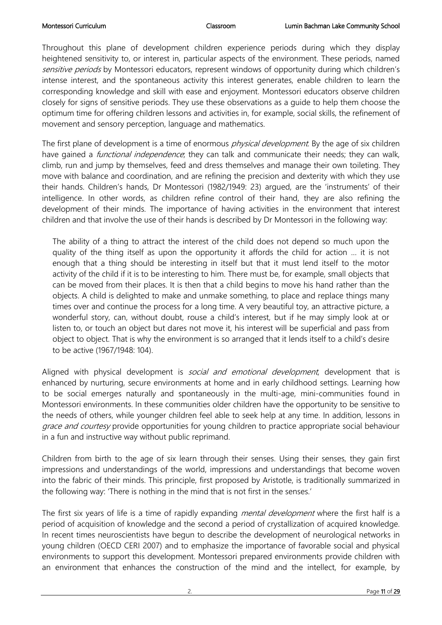Throughout this plane of development children experience periods during which they display heightened sensitivity to, or interest in, particular aspects of the environment. These periods, named sensitive periods by Montessori educators, represent windows of opportunity during which children's intense interest, and the spontaneous activity this interest generates, enable children to learn the corresponding knowledge and skill with ease and enjoyment. Montessori educators observe children closely for signs of sensitive periods. They use these observations as a guide to help them choose the optimum time for offering children lessons and activities in, for example, social skills, the refinement of movement and sensory perception, language and mathematics.

The first plane of development is a time of enormous *physical development*. By the age of six children have gained a *functional independence*; they can talk and communicate their needs; they can walk, climb, run and jump by themselves, feed and dress themselves and manage their own toileting. They move with balance and coordination, and are refining the precision and dexterity with which they use their hands. Children's hands, Dr Montessori (1982/1949: 23) argued, are the 'instruments' of their intelligence. In other words, as children refine control of their hand, they are also refining the development of their minds. The importance of having activities in the environment that interest children and that involve the use of their hands is described by Dr Montessori in the following way:

The ability of a thing to attract the interest of the child does not depend so much upon the quality of the thing itself as upon the opportunity it affords the child for action … it is not enough that a thing should be interesting in itself but that it must lend itself to the motor activity of the child if it is to be interesting to him. There must be, for example, small objects that can be moved from their places. It is then that a child begins to move his hand rather than the objects. A child is delighted to make and unmake something, to place and replace things many times over and continue the process for a long time. A very beautiful toy, an attractive picture, a wonderful story, can, without doubt, rouse a child's interest, but if he may simply look at or listen to, or touch an object but dares not move it, his interest will be superficial and pass from object to object. That is why the environment is so arranged that it lends itself to a child's desire to be active (1967/1948: 104).

Aligned with physical development is *social and emotional development*, development that is enhanced by nurturing, secure environments at home and in early childhood settings. Learning how to be social emerges naturally and spontaneously in the multi-age, mini-communities found in Montessori environments. In these communities older children have the opportunity to be sensitive to the needs of others, while younger children feel able to seek help at any time. In addition, lessons in grace and courtesy provide opportunities for young children to practice appropriate social behaviour in a fun and instructive way without public reprimand.

Children from birth to the age of six learn through their senses. Using their senses, they gain first impressions and understandings of the world, impressions and understandings that become woven into the fabric of their minds. This principle, first proposed by Aristotle, is traditionally summarized in the following way: 'There is nothing in the mind that is not first in the senses.'

The first six years of life is a time of rapidly expanding *mental development* where the first half is a period of acquisition of knowledge and the second a period of crystallization of acquired knowledge. In recent times neuroscientists have begun to describe the development of neurological networks in young children (OECD CERI 2007) and to emphasize the importance of favorable social and physical environments to support this development. Montessori prepared environments provide children with an environment that enhances the construction of the mind and the intellect, for example, by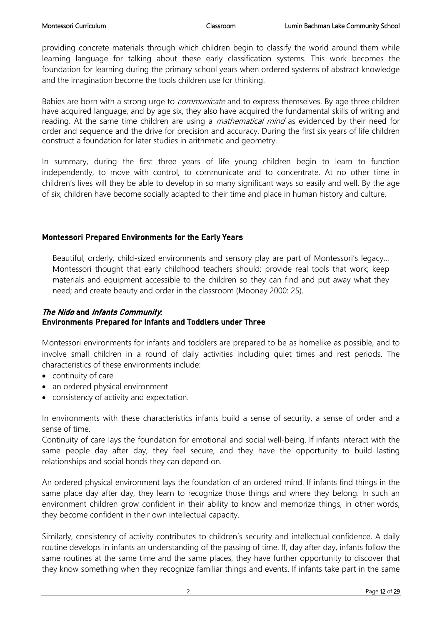providing concrete materials through which children begin to classify the world around them while learning language for talking about these early classification systems. This work becomes the foundation for learning during the primary school years when ordered systems of abstract knowledge and the imagination become the tools children use for thinking.

Babies are born with a strong urge to *communicate* and to express themselves. By age three children have acquired language, and by age six, they also have acquired the fundamental skills of writing and reading. At the same time children are using a *mathematical mind* as evidenced by their need for order and sequence and the drive for precision and accuracy. During the first six years of life children construct a foundation for later studies in arithmetic and geometry.

In summary, during the first three years of life young children begin to learn to function independently, to move with control, to communicate and to concentrate. At no other time in children's lives will they be able to develop in so many significant ways so easily and well. By the age of six, children have become socially adapted to their time and place in human history and culture.

## Montessori Prepared Environments for the Early Years

Beautiful, orderly, child-sized environments and sensory play are part of Montessori's legacy… Montessori thought that early childhood teachers should: provide real tools that work; keep materials and equipment accessible to the children so they can find and put away what they need; and create beauty and order in the classroom (Mooney 2000: 25).

### The Nido and Infants Community. Environments Prepared for Infants and Toddlers under Three

Montessori environments for infants and toddlers are prepared to be as homelike as possible, and to involve small children in a round of daily activities including quiet times and rest periods. The characteristics of these environments include:

- continuity of care
- an ordered physical environment
- consistency of activity and expectation.

In environments with these characteristics infants build a sense of security, a sense of order and a sense of time.

Continuity of care lays the foundation for emotional and social well-being. If infants interact with the same people day after day, they feel secure, and they have the opportunity to build lasting relationships and social bonds they can depend on.

An ordered physical environment lays the foundation of an ordered mind. If infants find things in the same place day after day, they learn to recognize those things and where they belong. In such an environment children grow confident in their ability to know and memorize things, in other words, they become confident in their own intellectual capacity.

Similarly, consistency of activity contributes to children's security and intellectual confidence. A daily routine develops in infants an understanding of the passing of time. If, day after day, infants follow the same routines at the same time and the same places, they have further opportunity to discover that they know something when they recognize familiar things and events. If infants take part in the same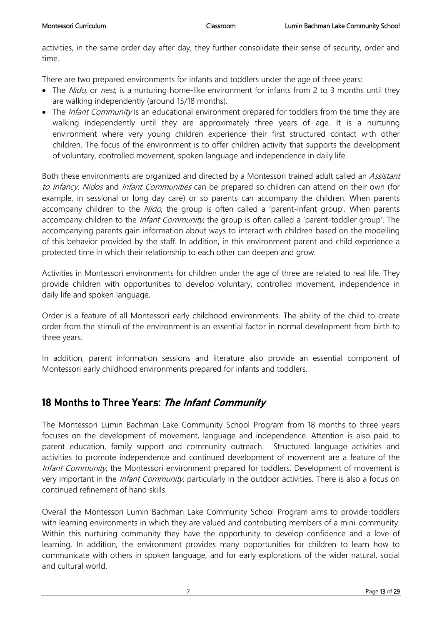activities, in the same order day after day, they further consolidate their sense of security, order and time.

There are two prepared environments for infants and toddlers under the age of three years:

- The Nido, or nest, is a nurturing home-like environment for infants from 2 to 3 months until they are walking independently (around 15/18 months).
- The *Infant Community* is an educational environment prepared for toddlers from the time they are walking independently until they are approximately three years of age. It is a nurturing environment where very young children experience their first structured contact with other children. The focus of the environment is to offer children activity that supports the development of voluntary, controlled movement, spoken language and independence in daily life.

Both these environments are organized and directed by a Montessori trained adult called an Assistant to Infancy. Nidos and Infant Communities can be prepared so children can attend on their own (for example, in sessional or long day care) or so parents can accompany the children. When parents accompany children to the Nido, the group is often called a 'parent-infant group'. When parents accompany children to the *Infant Community*, the group is often called a 'parent-toddler group'. The accompanying parents gain information about ways to interact with children based on the modelling of this behavior provided by the staff. In addition, in this environment parent and child experience a protected time in which their relationship to each other can deepen and grow.

Activities in Montessori environments for children under the age of three are related to real life. They provide children with opportunities to develop voluntary, controlled movement, independence in daily life and spoken language.

Order is a feature of all Montessori early childhood environments. The ability of the child to create order from the stimuli of the environment is an essential factor in normal development from birth to three years.

In addition, parent information sessions and literature also provide an essential component of Montessori early childhood environments prepared for infants and toddlers.

# 18 Months to Three Years: The Infant Community

The Montessori Lumin Bachman Lake Community School Program from 18 months to three years focuses on the development of movement, language and independence. Attention is also paid to parent education, family support and community outreach. Structured language activities and activities to promote independence and continued development of movement are a feature of the Infant Community, the Montessori environment prepared for toddlers. Development of movement is very important in the *Infant Community*, particularly in the outdoor activities. There is also a focus on continued refinement of hand skills.

Overall the Montessori Lumin Bachman Lake Community School Program aims to provide toddlers with learning environments in which they are valued and contributing members of a mini-community. Within this nurturing community they have the opportunity to develop confidence and a love of learning. In addition, the environment provides many opportunities for children to learn how to communicate with others in spoken language, and for early explorations of the wider natural, social and cultural world.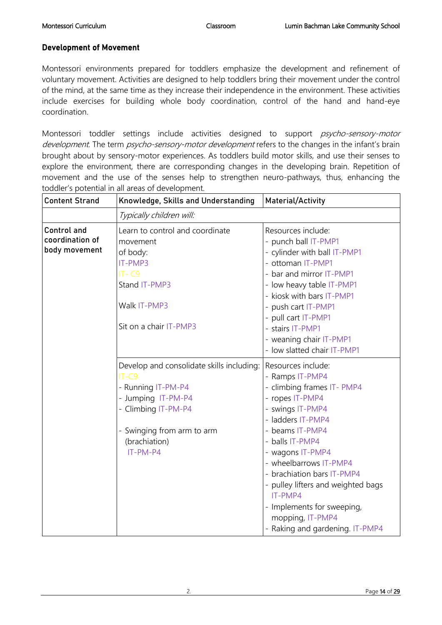#### Development of Movement

Montessori environments prepared for toddlers emphasize the development and refinement of voluntary movement. Activities are designed to help toddlers bring their movement under the control of the mind, at the same time as they increase their independence in the environment. These activities include exercises for building whole body coordination, control of the hand and hand-eye coordination.

Montessori toddler settings include activities designed to support *psycho-sensory-motor* development. The term *psycho-sensory-motor development* refers to the changes in the infant's brain brought about by sensory-motor experiences. As toddlers build motor skills, and use their senses to explore the environment, there are corresponding changes in the developing brain. Repetition of movement and the use of the senses help to strengthen neuro-pathways, thus, enhancing the toddler's potential in all areas of development.

| <b>Content Strand</b>                                  | Knowledge, Skills and Understanding                                                                                                                                                | Material/Activity                                                                                                                                                                                                                                                                                                                                                                       |
|--------------------------------------------------------|------------------------------------------------------------------------------------------------------------------------------------------------------------------------------------|-----------------------------------------------------------------------------------------------------------------------------------------------------------------------------------------------------------------------------------------------------------------------------------------------------------------------------------------------------------------------------------------|
|                                                        | Typically children will:                                                                                                                                                           |                                                                                                                                                                                                                                                                                                                                                                                         |
| <b>Control and</b><br>coordination of<br>body movement | Learn to control and coordinate<br>movement<br>of body:<br>IT-PMP3<br>$IT - C9$<br>Stand IT-PMP3<br>Walk IT-PMP3<br>Sit on a chair IT-PMP3                                         | Resources include:<br>- punch ball IT-PMP1<br>- cylinder with ball IT-PMP1<br>- ottoman IT-PMP1<br>- bar and mirror IT-PMP1<br>- low heavy table IT-PMP1<br>- kiosk with bars IT-PMP1<br>- push cart IT-PMP1<br>- pull cart IT-PMP1<br>- stairs IT-PMP1<br>- weaning chair IT-PMP1<br>- low slatted chair IT-PMP1                                                                       |
|                                                        | Develop and consolidate skills including:<br>$IT-C9$<br>- Running IT-PM-P4<br>- Jumping IT-PM-P4<br>- Climbing IT-PM-P4<br>- Swinging from arm to arm<br>(brachiation)<br>IT-PM-P4 | Resources include:<br>- Ramps IT-PMP4<br>- climbing frames IT- PMP4<br>- ropes IT-PMP4<br>- swings IT-PMP4<br>- ladders IT-PMP4<br>- beams IT-PMP4<br>- balls IT-PMP4<br>- wagons IT-PMP4<br>- wheelbarrows IT-PMP4<br>- brachiation bars IT-PMP4<br>- pulley lifters and weighted bags<br>IT-PMP4<br>- Implements for sweeping,<br>mopping, IT-PMP4<br>- Raking and gardening. IT-PMP4 |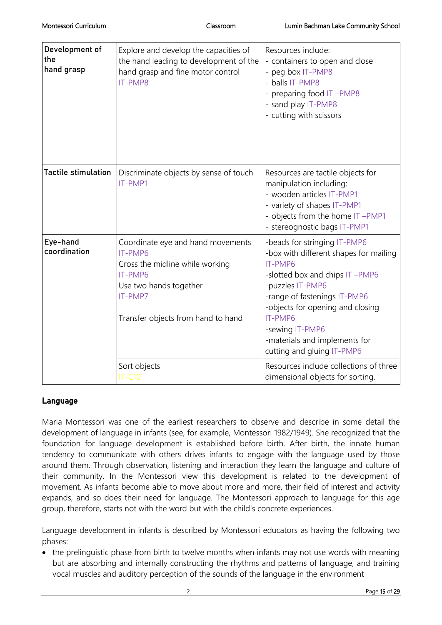| Development of<br>the<br>hand grasp | Explore and develop the capacities of<br>the hand leading to development of the<br>hand grasp and fine motor control<br>IT-PMP8                                       | Resources include:<br>- containers to open and close<br>- peg box IT-PMP8<br>- balls IT-PMP8<br>- preparing food IT-PMP8<br>- sand play IT-PMP8<br>- cutting with scissors                                                                                                                               |
|-------------------------------------|-----------------------------------------------------------------------------------------------------------------------------------------------------------------------|----------------------------------------------------------------------------------------------------------------------------------------------------------------------------------------------------------------------------------------------------------------------------------------------------------|
| <b>Tactile stimulation</b>          | Discriminate objects by sense of touch<br>IT-PMP1                                                                                                                     | Resources are tactile objects for<br>manipulation including:<br>- wooden articles IT-PMP1<br>- variety of shapes IT-PMP1<br>- objects from the home IT-PMP1<br>- stereognostic bags IT-PMP1                                                                                                              |
| Eye-hand<br>coordination            | Coordinate eye and hand movements<br>IT-PMP6<br>Cross the midline while working<br>IT-PMP6<br>Use two hands together<br>IT-PMP7<br>Transfer objects from hand to hand | -beads for stringing IT-PMP6<br>-box with different shapes for mailing<br>IT-PMP6<br>-slotted box and chips IT-PMP6<br>-puzzles IT-PMP6<br>-range of fastenings IT-PMP6<br>-objects for opening and closing<br>IT-PMP6<br>-sewing IT-PMP6<br>-materials and implements for<br>cutting and gluing IT-PMP6 |
|                                     | Sort objects<br><b>IT-C10</b>                                                                                                                                         | Resources include collections of three<br>dimensional objects for sorting.                                                                                                                                                                                                                               |

## Language

Maria Montessori was one of the earliest researchers to observe and describe in some detail the development of language in infants (see, for example, Montessori 1982/1949). She recognized that the foundation for language development is established before birth. After birth, the innate human tendency to communicate with others drives infants to engage with the language used by those around them. Through observation, listening and interaction they learn the language and culture of their community. In the Montessori view this development is related to the development of movement. As infants become able to move about more and more, their field of interest and activity expands, and so does their need for language. The Montessori approach to language for this age group, therefore, starts not with the word but with the child's concrete experiences.

Language development in infants is described by Montessori educators as having the following two phases:

• the prelinguistic phase from birth to twelve months when infants may not use words with meaning but are absorbing and internally constructing the rhythms and patterns of language, and training vocal muscles and auditory perception of the sounds of the language in the environment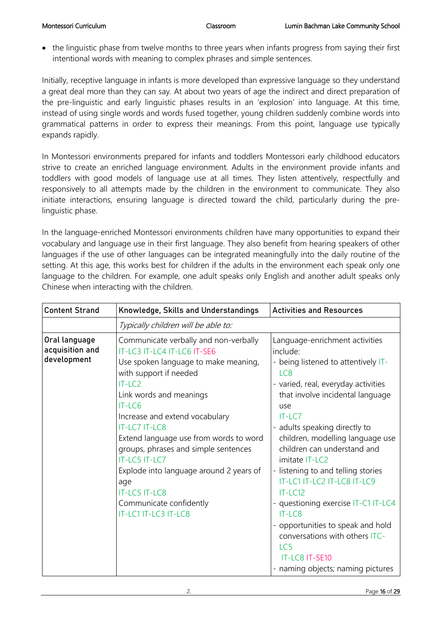• the linguistic phase from twelve months to three years when infants progress from saying their first intentional words with meaning to complex phrases and simple sentences.

Initially, receptive language in infants is more developed than expressive language so they understand a great deal more than they can say. At about two years of age the indirect and direct preparation of the pre-linguistic and early linguistic phases results in an 'explosion' into language. At this time, instead of using single words and words fused together, young children suddenly combine words into grammatical patterns in order to express their meanings. From this point, language use typically expands rapidly.

In Montessori environments prepared for infants and toddlers Montessori early childhood educators strive to create an enriched language environment. Adults in the environment provide infants and toddlers with good models of language use at all times. They listen attentively, respectfully and responsively to all attempts made by the children in the environment to communicate. They also initiate interactions, ensuring language is directed toward the child, particularly during the prelinguistic phase.

In the language-enriched Montessori environments children have many opportunities to expand their vocabulary and language use in their first language. They also benefit from hearing speakers of other languages if the use of other languages can be integrated meaningfully into the daily routine of the setting. At this age, this works best for children if the adults in the environment each speak only one language to the children. For example, one adult speaks only English and another adult speaks only Chinese when interacting with the children.

| <b>Content Strand</b>                           | Knowledge, Skills and Understandings                                                                                                                                                                                                                                                                                                                                                                                                                                       | <b>Activities and Resources</b>                                                                                                                                                                                                                                                                                                                                                                                                                                                                                                                                                                    |
|-------------------------------------------------|----------------------------------------------------------------------------------------------------------------------------------------------------------------------------------------------------------------------------------------------------------------------------------------------------------------------------------------------------------------------------------------------------------------------------------------------------------------------------|----------------------------------------------------------------------------------------------------------------------------------------------------------------------------------------------------------------------------------------------------------------------------------------------------------------------------------------------------------------------------------------------------------------------------------------------------------------------------------------------------------------------------------------------------------------------------------------------------|
|                                                 | Typically children will be able to:                                                                                                                                                                                                                                                                                                                                                                                                                                        |                                                                                                                                                                                                                                                                                                                                                                                                                                                                                                                                                                                                    |
| Oral language<br>acquisition and<br>development | Communicate verbally and non-verbally<br>IT-LC3 IT-LC4 IT-LC6 IT-SE6<br>Use spoken language to make meaning,<br>with support if needed<br>IT-LC2<br>Link words and meanings<br>$IT-LC6$<br>Increase and extend vocabulary<br><b>IT-LC7 IT-LC8</b><br>Extend language use from words to word<br>groups, phrases and simple sentences<br>IT-LC5 IT-LC7<br>Explode into language around 2 years of<br>age<br>IT-LC5 IT-LC8<br>Communicate confidently<br>IT-LC1 IT-LC3 IT-LC8 | Language-enrichment activities<br>include:<br>- being listened to attentively IT-<br>LC <sub>8</sub><br>- varied, real, everyday activities<br>that involve incidental language<br>use<br>$IT-LC7$<br>- adults speaking directly to<br>children, modelling language use<br>children can understand and<br>imitate IT-LC2<br>- listening to and telling stories<br>IT-LC1 IT-LC2 IT-LC8 IT-LC9<br>$IT-LC12$<br>- questioning exercise IT-C1 IT-LC4<br>$IT-LC8$<br>- opportunities to speak and hold<br>conversations with others ITC-<br>LC5<br>IT-LC8 IT-SE10<br>- naming objects; naming pictures |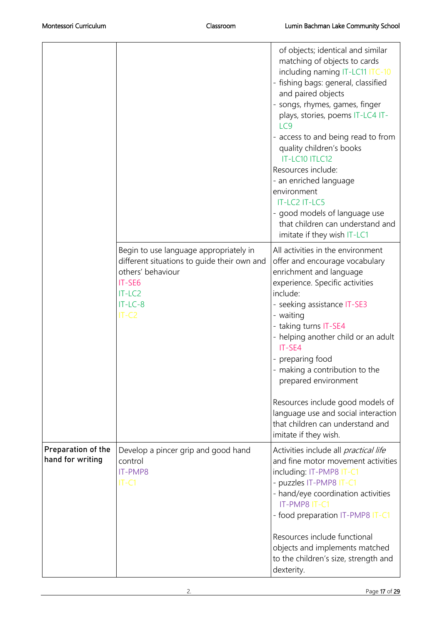|                                        |                                                                                                                                                          | of objects; identical and similar<br>matching of objects to cards<br>including naming IT-LC11 ITC-10<br>- fishing bags: general, classified<br>and paired objects<br>- songs, rhymes, games, finger<br>plays, stories, poems IT-LC4 IT-<br>LC <sub>9</sub><br>- access to and being read to from<br>quality children's books<br>IT-LC10 ITLC12<br>Resources include:<br>- an enriched language<br>environment<br>IT-LC2 IT-LC5<br>- good models of language use<br>that children can understand and<br>imitate if they wish IT-LC1 |
|----------------------------------------|----------------------------------------------------------------------------------------------------------------------------------------------------------|------------------------------------------------------------------------------------------------------------------------------------------------------------------------------------------------------------------------------------------------------------------------------------------------------------------------------------------------------------------------------------------------------------------------------------------------------------------------------------------------------------------------------------|
|                                        | Begin to use language appropriately in<br>different situations to guide their own and<br>others' behaviour<br>IT-SE6<br>$IT-LC2$<br>$IT-LC-8$<br>$IT-C2$ | All activities in the environment<br>offer and encourage vocabulary<br>enrichment and language<br>experience. Specific activities<br>include:<br>- seeking assistance IT-SE3<br>- waiting<br>- taking turns IT-SE4<br>- helping another child or an adult<br>IT-SE4<br>- preparing food<br>making a contribution to the<br>prepared environment                                                                                                                                                                                    |
| Preparation of the<br>hand for writing | Develop a pincer grip and good hand<br>control<br>IT-PMP8<br>$IT-C1$                                                                                     | Resources include good models of<br>language use and social interaction<br>that children can understand and<br>imitate if they wish.<br>Activities include all <i>practical life</i><br>and fine motor movement activities<br>including: IT-PMP8 IT-C1<br>- puzzles IT-PMP8 IT-C1<br>- hand/eye coordination activities<br>IT-PMP8 IT-C1<br>- food preparation IT-PMP8 IT-C1<br>Resources include functional<br>objects and implements matched<br>to the children's size, strength and                                             |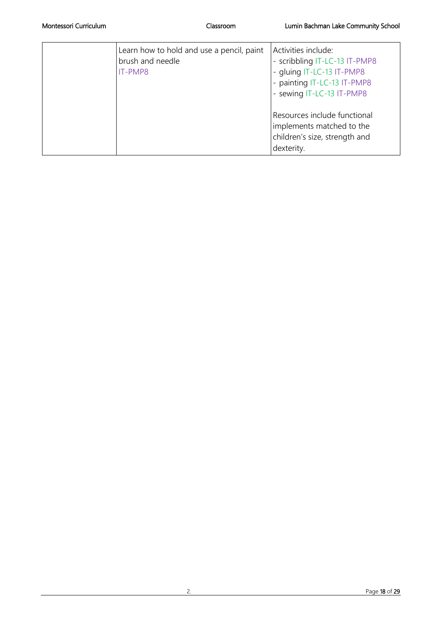| Learn how to hold and use a pencil, paint<br>brush and needle<br>IT-PMP8 | Activities include:<br>scribbling IT-LC-13 IT-PMP8<br>gluing IT-LC-13 IT-PMP8<br>painting IT-LC-13 IT-PMP8<br>- sewing IT-LC-13 IT-PMP8 |
|--------------------------------------------------------------------------|-----------------------------------------------------------------------------------------------------------------------------------------|
|                                                                          | Resources include functional<br>implements matched to the<br>children's size, strength and<br>dexterity.                                |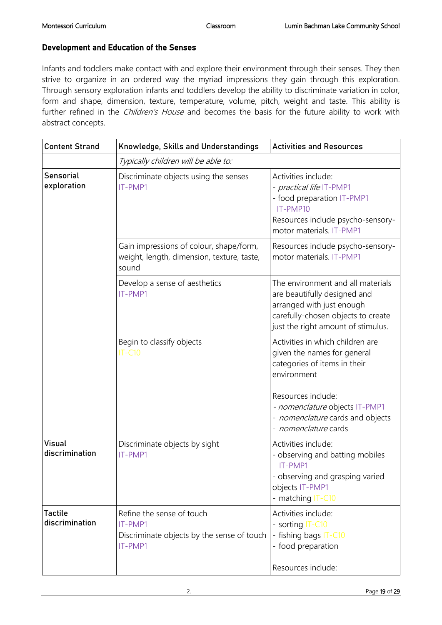#### Development and Education of the Senses

Infants and toddlers make contact with and explore their environment through their senses. They then strive to organize in an ordered way the myriad impressions they gain through this exploration. Through sensory exploration infants and toddlers develop the ability to discriminate variation in color, form and shape, dimension, texture, temperature, volume, pitch, weight and taste. This ability is further refined in the *Children's House* and becomes the basis for the future ability to work with abstract concepts.

| <b>Content Strand</b>            | Knowledge, Skills and Understandings                                                           | <b>Activities and Resources</b>                                                                                                                                            |
|----------------------------------|------------------------------------------------------------------------------------------------|----------------------------------------------------------------------------------------------------------------------------------------------------------------------------|
|                                  | Typically children will be able to:                                                            |                                                                                                                                                                            |
| <b>Sensorial</b><br>exploration  | Discriminate objects using the senses<br>IT-PMP1                                               | Activities include:<br>- <i>practical life</i> IT-PMP1<br>- food preparation IT-PMP1<br>IT-PMP10<br>Resources include psycho-sensory-<br>motor materials. IT-PMP1          |
|                                  | Gain impressions of colour, shape/form,<br>weight, length, dimension, texture, taste,<br>sound | Resources include psycho-sensory-<br>motor materials. IT-PMP1                                                                                                              |
|                                  | Develop a sense of aesthetics<br>IT-PMP1                                                       | The environment and all materials<br>are beautifully designed and<br>arranged with just enough<br>carefully-chosen objects to create<br>just the right amount of stimulus. |
|                                  | Begin to classify objects<br><b>IT-C10</b>                                                     | Activities in which children are<br>given the names for general<br>categories of items in their<br>environment<br>Resources include:<br>- nomenclature objects IT-PMP1     |
|                                  |                                                                                                | - nomenclature cards and objects<br>- nomenclature cards                                                                                                                   |
| <b>Visual</b><br>discrimination  | Discriminate objects by sight<br>IT-PMP1                                                       | Activities include:<br>- observing and batting mobiles<br>IT-PMP1<br>- observing and grasping varied<br>objects IT-PMP1<br>- matching IT-C10                               |
| <b>Tactile</b><br>discrimination | Refine the sense of touch<br>IT-PMP1<br>Discriminate objects by the sense of touch<br>IT-PMP1  | Activities include:<br>- sorting IT-C10<br>- fishing bags IT-C10<br>- food preparation<br>Resources include:                                                               |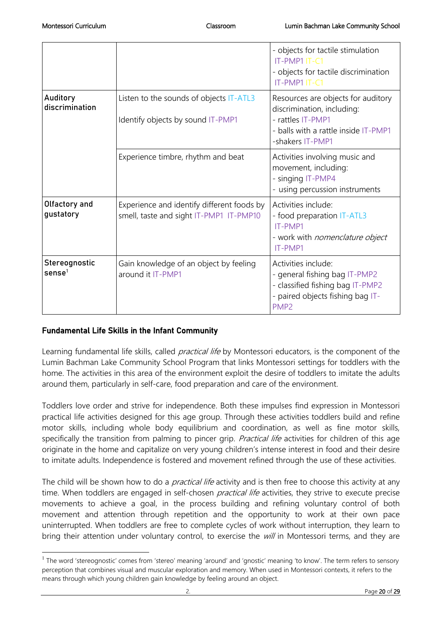|                                   |                                                                                       | - objects for tactile stimulation<br>IT-PMP1 IT-C1<br>- objects for tactile discrimination<br>IT-PMP1 IT-C1                                       |
|-----------------------------------|---------------------------------------------------------------------------------------|---------------------------------------------------------------------------------------------------------------------------------------------------|
| Auditory<br>discrimination        | Listen to the sounds of objects IT-ATL3<br>Identify objects by sound IT-PMP1          | Resources are objects for auditory<br>discrimination, including:<br>- rattles IT-PMP1<br>- balls with a rattle inside IT-PMP1<br>-shakers IT-PMP1 |
|                                   | Experience timbre, rhythm and beat                                                    | Activities involving music and<br>movement, including:<br>- singing IT-PMP4<br>- using percussion instruments                                     |
| Olfactory and<br>gustatory        | Experience and identify different foods by<br>smell, taste and sight IT-PMP1 IT-PMP10 | Activities include:<br>- food preparation IT-ATL3<br>IT-PMP1<br>- work with <i>nomenclature object</i><br>IT-PMP1                                 |
| Stereognostic<br>$\text{sense}^1$ | Gain knowledge of an object by feeling<br>around it IT-PMP1                           | Activities include:<br>- general fishing bag IT-PMP2<br>- classified fishing bag IT-PMP2<br>- paired objects fishing bag IT-<br>PMP <sub>2</sub>  |

## Fundamental Life Skills in the Infant Community

 $\overline{a}$ 

Learning fundamental life skills, called *practical life* by Montessori educators, is the component of the Lumin Bachman Lake Community School Program that links Montessori settings for toddlers with the home. The activities in this area of the environment exploit the desire of toddlers to imitate the adults around them, particularly in self-care, food preparation and care of the environment.

Toddlers love order and strive for independence. Both these impulses find expression in Montessori practical life activities designed for this age group. Through these activities toddlers build and refine motor skills, including whole body equilibrium and coordination, as well as fine motor skills, specifically the transition from palming to pincer grip. Practical life activities for children of this age originate in the home and capitalize on very young children's intense interest in food and their desire to imitate adults. Independence is fostered and movement refined through the use of these activities.

The child will be shown how to do a *practical life* activity and is then free to choose this activity at any time. When toddlers are engaged in self-chosen *practical life* activities, they strive to execute precise movements to achieve a goal, in the process building and refining voluntary control of both movement and attention through repetition and the opportunity to work at their own pace uninterrupted. When toddlers are free to complete cycles of work without interruption, they learn to bring their attention under voluntary control, to exercise the will in Montessori terms, and they are

<sup>&</sup>lt;sup>1</sup> The word 'stereognostic' comes from 'stereo' meaning 'around' and 'gnostic' meaning 'to know'. The term refers to sensory perception that combines visual and muscular exploration and memory. When used in Montessori contexts, it refers to the means through which young children gain knowledge by feeling around an object.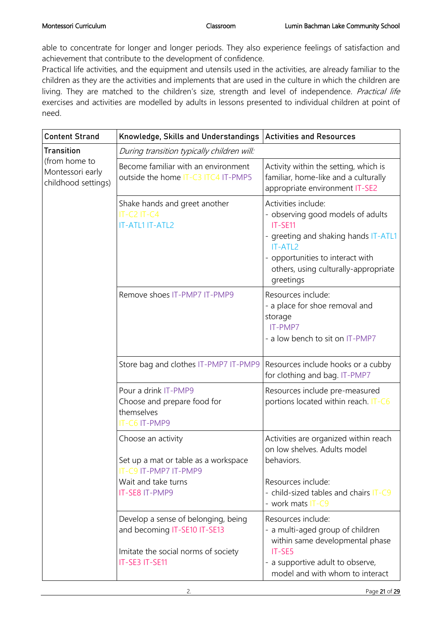able to concentrate for longer and longer periods. They also experience feelings of satisfaction and achievement that contribute to the development of confidence.

Practical life activities, and the equipment and utensils used in the activities, are already familiar to the children as they are the activities and implements that are used in the culture in which the children are living. They are matched to the children's size, strength and level of independence. Practical life exercises and activities are modelled by adults in lessons presented to individual children at point of need.

| <b>Content Strand</b>                                    | Knowledge, Skills and Understandings   Activities and Resources                                                              |                                                                                                                                                                                                                 |
|----------------------------------------------------------|------------------------------------------------------------------------------------------------------------------------------|-----------------------------------------------------------------------------------------------------------------------------------------------------------------------------------------------------------------|
| <b>Transition</b>                                        | During transition typically children will:                                                                                   |                                                                                                                                                                                                                 |
| (from home to<br>Montessori early<br>childhood settings) | Become familiar with an environment<br>outside the home IT-C3 ITC4 IT-PMP5                                                   | Activity within the setting, which is<br>familiar, home-like and a culturally<br>appropriate environment IT-SE2                                                                                                 |
|                                                          | Shake hands and greet another<br>$IT-C2 IT-C4$<br>IT-ATL1 IT-ATL2                                                            | Activities include:<br>- observing good models of adults<br>IT-SE11<br>- greeting and shaking hands IT-ATL1<br>IT-ATL2<br>- opportunities to interact with<br>others, using culturally-appropriate<br>greetings |
|                                                          | Remove shoes IT-PMP7 IT-PMP9                                                                                                 | Resources include:<br>- a place for shoe removal and<br>storage<br>IT-PMP7<br>- a low bench to sit on IT-PMP7                                                                                                   |
|                                                          | Store bag and clothes IT-PMP7 IT-PMP9                                                                                        | Resources include hooks or a cubby<br>for clothing and bag. IT-PMP7                                                                                                                                             |
|                                                          | Pour a drink IT-PMP9<br>Choose and prepare food for<br>themselves<br>IT-C6 IT-PMP9                                           | Resources include pre-measured<br>portions located within reach. IT-C6                                                                                                                                          |
|                                                          | Choose an activity<br>Set up a mat or table as a workspace<br>IT-C9 IT-PMP7 IT-PMP9<br>Wait and take turns<br>IT-SE8 IT-PMP9 | Activities are organized within reach<br>on low shelves. Adults model<br>behaviors.<br>Resources include:<br>- child-sized tables and chairs IT-C9<br>- work mats IT-C9                                         |
|                                                          | Develop a sense of belonging, being<br>and becoming IT-SE10 IT-SE13<br>Imitate the social norms of society<br>IT-SE3 IT-SE11 | Resources include:<br>- a multi-aged group of children<br>within same developmental phase<br>IT-SE5<br>- a supportive adult to observe,<br>model and with whom to interact                                      |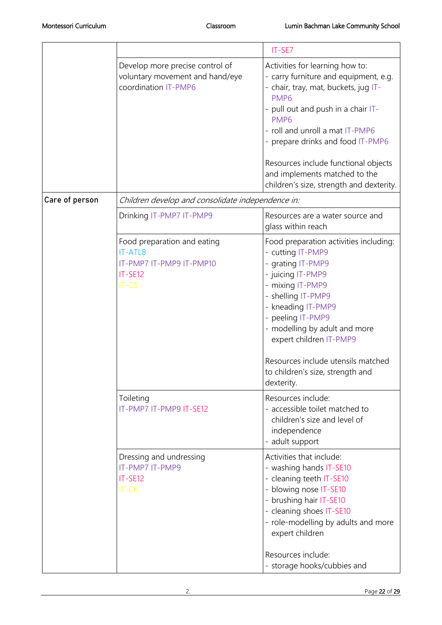|                | Develop more precise control of<br>voluntary movement and hand/eye<br>coordination IT-PMP6      | Activities for learning how to:<br>- carry furniture and equipment, e.g.<br>- chair, tray, mat, buckets, jug IT-<br>PMP <sub>6</sub><br>- pull out and push in a chair IT-<br>PMP <sub>6</sub><br>- roll and unroll a mat IT-PMP6<br>- prepare drinks and food IT-PMP6<br>Resources include functional objects<br>and implements matched to the<br>children's size, strength and dexterity. |
|----------------|-------------------------------------------------------------------------------------------------|---------------------------------------------------------------------------------------------------------------------------------------------------------------------------------------------------------------------------------------------------------------------------------------------------------------------------------------------------------------------------------------------|
| Care of person | Children develop and consolidate independence in:                                               |                                                                                                                                                                                                                                                                                                                                                                                             |
|                | Drinking IT-PMP7 IT-PMP9                                                                        | Resources are a water source and<br>glass within reach                                                                                                                                                                                                                                                                                                                                      |
|                | Food preparation and eating<br><b>IT-ATL8</b><br>IT-PMP7 IT-PMP9 IT-PMP10<br>IT-SE12<br>$IT-C5$ | Food preparation activities including:<br>- cutting IT-PMP9<br>- grating IT-PMP9<br>- juicing IT-PMP9<br>- mixing IT-PMP9<br>- shelling IT-PMP9<br>- kneading IT-PMP9<br>- peeling IT-PMP9<br>- modelling by adult and more<br>expert children IT-PMP9<br>Resources include utensils matched<br>to children's size, strength and                                                            |
|                |                                                                                                 | dexterity.                                                                                                                                                                                                                                                                                                                                                                                  |
|                | Toileting<br>IT-PMP7 IT-PMP9 IT-SE12                                                            | Resources include:<br>- accessible toilet matched to<br>children's size and level of<br>independence<br>- adult support                                                                                                                                                                                                                                                                     |
|                | Dressing and undressing<br>IT-PMP7 IT-PMP9<br>IT-SE12<br>$IT-C6$                                | Activities that include:<br>- washing hands IT-SE10<br>- cleaning teeth IT-SE10<br>- blowing nose IT-SE10<br>- brushing hair IT-SE10<br>- cleaning shoes IT-SE10<br>- role-modelling by adults and more<br>expert children<br>Resources include:<br>- storage hooks/cubbies and                                                                                                             |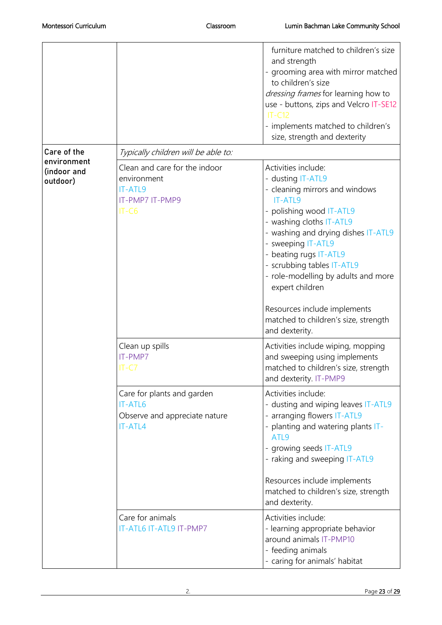|                                        |                                                                                          | furniture matched to children's size<br>and strength<br>- grooming area with mirror matched<br>to children's size<br>dressing frames for learning how to<br>use - buttons, zips and Velcro IT-SE12<br>$IT-C12$<br>- implements matched to children's<br>size, strength and dexterity                                                |
|----------------------------------------|------------------------------------------------------------------------------------------|-------------------------------------------------------------------------------------------------------------------------------------------------------------------------------------------------------------------------------------------------------------------------------------------------------------------------------------|
| Care of the                            | Typically children will be able to:                                                      |                                                                                                                                                                                                                                                                                                                                     |
| environment<br>(indoor and<br>outdoor) | Clean and care for the indoor<br>environment<br>IT-ATL9<br>IT-PMP7 IT-PMP9<br>$IT-C6$    | Activities include:<br>- dusting IT-ATL9<br>- cleaning mirrors and windows<br><b>IT-ATL9</b><br>- polishing wood IT-ATL9<br>- washing cloths IT-ATL9<br>- washing and drying dishes IT-ATL9<br>- sweeping IT-ATL9<br>- beating rugs IT-ATL9<br>- scrubbing tables IT-ATL9<br>- role-modelling by adults and more<br>expert children |
|                                        |                                                                                          | Resources include implements<br>matched to children's size, strength<br>and dexterity.                                                                                                                                                                                                                                              |
|                                        | Clean up spills<br>IT-PMP7<br>$IT-C7$                                                    | Activities include wiping, mopping<br>and sweeping using implements<br>matched to children's size, strength<br>and dexterity. IT-PMP9                                                                                                                                                                                               |
|                                        | Care for plants and garden<br><b>IT-ATL6</b><br>Observe and appreciate nature<br>IT-ATL4 | Activities include:<br>- dusting and wiping leaves IT-ATL9<br>- arranging flowers IT-ATL9<br>- planting and watering plants IT-<br>ATL <sub>9</sub><br>- growing seeds IT-ATL9<br>- raking and sweeping IT-ATL9<br>Resources include implements<br>matched to children's size, strength<br>and dexterity.                           |
|                                        | Care for animals<br>IT-ATL6 IT-ATL9 IT-PMP7                                              | Activities include:<br>- learning appropriate behavior<br>around animals IT-PMP10<br>- feeding animals<br>- caring for animals' habitat                                                                                                                                                                                             |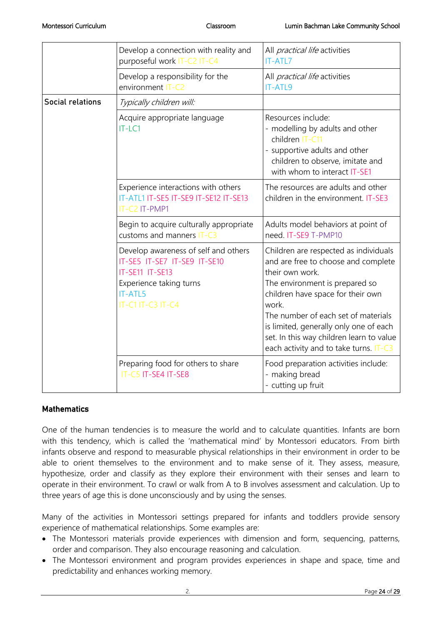|                         | Develop a connection with reality and<br>purposeful work IT-C2 IT-C4                                                                                      | All <i>practical life</i> activities<br><b>IT-ATL7</b>                                                                                                                                                                                                                                                                                                 |
|-------------------------|-----------------------------------------------------------------------------------------------------------------------------------------------------------|--------------------------------------------------------------------------------------------------------------------------------------------------------------------------------------------------------------------------------------------------------------------------------------------------------------------------------------------------------|
|                         | Develop a responsibility for the<br>environment IT-C2                                                                                                     | All <i>practical life</i> activities<br><b>IT-ATL9</b>                                                                                                                                                                                                                                                                                                 |
| <b>Social relations</b> | Typically children will:                                                                                                                                  |                                                                                                                                                                                                                                                                                                                                                        |
|                         | Acquire appropriate language<br>IT-LC1                                                                                                                    | Resources include:<br>- modelling by adults and other<br>children IT-C11<br>- supportive adults and other<br>children to observe, imitate and<br>with whom to interact IT-SE1                                                                                                                                                                          |
|                         | Experience interactions with others<br>IT-ATL1 IT-SE5 IT-SE9 IT-SE12 IT-SE13<br>IT-C2 IT-PMP1                                                             | The resources are adults and other<br>children in the environment. IT-SE3                                                                                                                                                                                                                                                                              |
|                         | Begin to acquire culturally appropriate<br>customs and manners IT-C3                                                                                      | Adults model behaviors at point of<br>need. IT-SE9 T-PMP10                                                                                                                                                                                                                                                                                             |
|                         | Develop awareness of self and others<br>IT-SE5 IT-SE7 IT-SE9 IT-SE10<br>IT-SE11 IT-SE13<br>Experience taking turns<br><b>IT-ATL5</b><br>IT-C1 IT-C3 IT-C4 | Children are respected as individuals<br>and are free to choose and complete<br>their own work.<br>The environment is prepared so<br>children have space for their own<br>work.<br>The number of each set of materials<br>is limited, generally only one of each<br>set. In this way children learn to value<br>each activity and to take turns. IT-C3 |
|                         | Preparing food for others to share<br>IT-C5 IT-SE4 IT-SE8                                                                                                 | Food preparation activities include:<br>- making bread<br>- cutting up fruit                                                                                                                                                                                                                                                                           |

#### **Mathematics**

One of the human tendencies is to measure the world and to calculate quantities. Infants are born with this tendency, which is called the 'mathematical mind' by Montessori educators. From birth infants observe and respond to measurable physical relationships in their environment in order to be able to orient themselves to the environment and to make sense of it. They assess, measure, hypothesize, order and classify as they explore their environment with their senses and learn to operate in their environment. To crawl or walk from A to B involves assessment and calculation. Up to three years of age this is done unconsciously and by using the senses.

Many of the activities in Montessori settings prepared for infants and toddlers provide sensory experience of mathematical relationships. Some examples are:

- The Montessori materials provide experiences with dimension and form, sequencing, patterns, order and comparison. They also encourage reasoning and calculation.
- The Montessori environment and program provides experiences in shape and space, time and predictability and enhances working memory.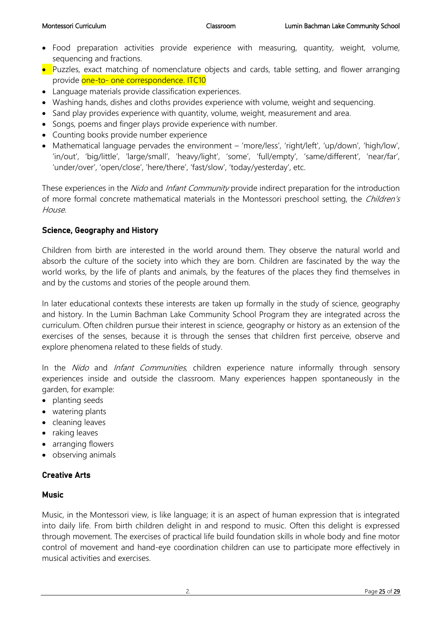- Food preparation activities provide experience with measuring, quantity, weight, volume, sequencing and fractions.
- Puzzles, exact matching of nomenclature objects and cards, table setting, and flower arranging provide one-to- one correspondence. ITC10
- Language materials provide classification experiences.
- Washing hands, dishes and cloths provides experience with volume, weight and sequencing.
- Sand play provides experience with quantity, volume, weight, measurement and area.
- Songs, poems and finger plays provide experience with number.
- Counting books provide number experience
- Mathematical language pervades the environment 'more/less', 'right/left', 'up/down', 'high/low', 'in/out', 'big/little', 'large/small', 'heavy/light', 'some', 'full/empty', 'same/different', 'near/far', 'under/over', 'open/close', 'here/there', 'fast/slow', 'today/yesterday', etc.

These experiences in the Nido and Infant Community provide indirect preparation for the introduction of more formal concrete mathematical materials in the Montessori preschool setting, the Children's House.

#### Science, Geography and History

Children from birth are interested in the world around them. They observe the natural world and absorb the culture of the society into which they are born. Children are fascinated by the way the world works, by the life of plants and animals, by the features of the places they find themselves in and by the customs and stories of the people around them.

In later educational contexts these interests are taken up formally in the study of science, geography and history. In the Lumin Bachman Lake Community School Program they are integrated across the curriculum. Often children pursue their interest in science, geography or history as an extension of the exercises of the senses, because it is through the senses that children first perceive, observe and explore phenomena related to these fields of study.

In the *Nido* and *Infant Communities*, children experience nature informally through sensory experiences inside and outside the classroom. Many experiences happen spontaneously in the garden, for example:

- planting seeds
- watering plants
- cleaning leaves
- raking leaves
- arranging flowers
- observing animals

#### Creative Arts

#### **Music**

Music, in the Montessori view, is like language; it is an aspect of human expression that is integrated into daily life. From birth children delight in and respond to music. Often this delight is expressed through movement. The exercises of practical life build foundation skills in whole body and fine motor control of movement and hand-eye coordination children can use to participate more effectively in musical activities and exercises.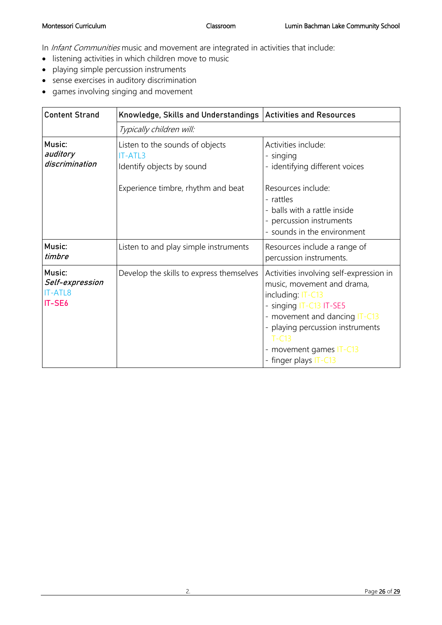In *Infant Communities* music and movement are integrated in activities that include:

- listening activities in which children move to music
- playing simple percussion instruments
- sense exercises in auditory discrimination
- games involving singing and movement

| <b>Content Strand</b>                          | Knowledge, Skills and Understandings   Activities and Resources                                                      |                                                                                                                                                                                                                                                           |
|------------------------------------------------|----------------------------------------------------------------------------------------------------------------------|-----------------------------------------------------------------------------------------------------------------------------------------------------------------------------------------------------------------------------------------------------------|
|                                                | Typically children will:                                                                                             |                                                                                                                                                                                                                                                           |
| Music:<br>auditory<br>discrimination           | Listen to the sounds of objects<br><b>IT-ATL3</b><br>Identify objects by sound<br>Experience timbre, rhythm and beat | Activities include:<br>- singing<br>- identifying different voices<br>Resources include:                                                                                                                                                                  |
|                                                |                                                                                                                      | - rattles<br>- balls with a rattle inside<br>- percussion instruments<br>- sounds in the environment                                                                                                                                                      |
| Music:<br>timbre                               | Listen to and play simple instruments                                                                                | Resources include a range of<br>percussion instruments.                                                                                                                                                                                                   |
| Music:<br>Self-expression<br>IT-ATL8<br>IT-SE6 | Develop the skills to express themselves                                                                             | Activities involving self-expression in<br>music, movement and drama,<br>including: IT-C13<br>- singing IT-C13 IT-SE5<br>- movement and dancing IT-C13<br>- playing percussion instruments<br>$T-C13$<br>- movement games IT-C13<br>- finger plays IT-C13 |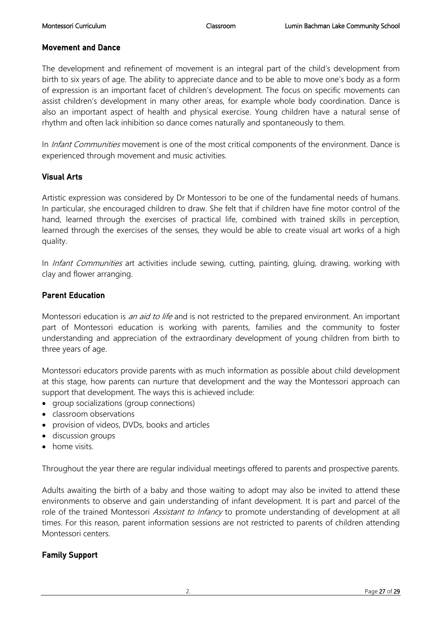#### Movement and Dance

The development and refinement of movement is an integral part of the child's development from birth to six years of age. The ability to appreciate dance and to be able to move one's body as a form of expression is an important facet of children's development. The focus on specific movements can assist children's development in many other areas, for example whole body coordination. Dance is also an important aspect of health and physical exercise. Young children have a natural sense of rhythm and often lack inhibition so dance comes naturally and spontaneously to them.

In Infant Communities movement is one of the most critical components of the environment. Dance is experienced through movement and music activities.

#### Visual Arts

Artistic expression was considered by Dr Montessori to be one of the fundamental needs of humans. In particular, she encouraged children to draw. She felt that if children have fine motor control of the hand, learned through the exercises of practical life, combined with trained skills in perception, learned through the exercises of the senses, they would be able to create visual art works of a high quality.

In *Infant Communities* art activities include sewing, cutting, painting, gluing, drawing, working with clay and flower arranging.

#### Parent Education

Montessori education is *an aid to life* and is not restricted to the prepared environment. An important part of Montessori education is working with parents, families and the community to foster understanding and appreciation of the extraordinary development of young children from birth to three years of age.

Montessori educators provide parents with as much information as possible about child development at this stage, how parents can nurture that development and the way the Montessori approach can support that development. The ways this is achieved include:

- group socializations (group connections)
- classroom observations
- provision of videos, DVDs, books and articles
- discussion groups
- home visits.

Throughout the year there are regular individual meetings offered to parents and prospective parents.

Adults awaiting the birth of a baby and those waiting to adopt may also be invited to attend these environments to observe and gain understanding of infant development. It is part and parcel of the role of the trained Montessori Assistant to Infancy to promote understanding of development at all times. For this reason, parent information sessions are not restricted to parents of children attending Montessori centers.

#### Family Support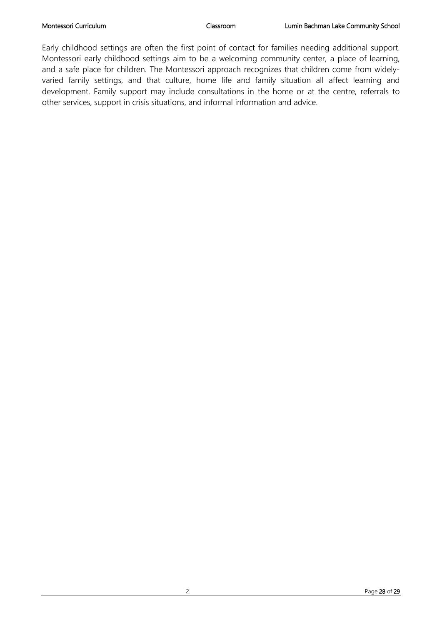Early childhood settings are often the first point of contact for families needing additional support. Montessori early childhood settings aim to be a welcoming community center, a place of learning, and a safe place for children. The Montessori approach recognizes that children come from widelyvaried family settings, and that culture, home life and family situation all affect learning and development. Family support may include consultations in the home or at the centre, referrals to other services, support in crisis situations, and informal information and advice.